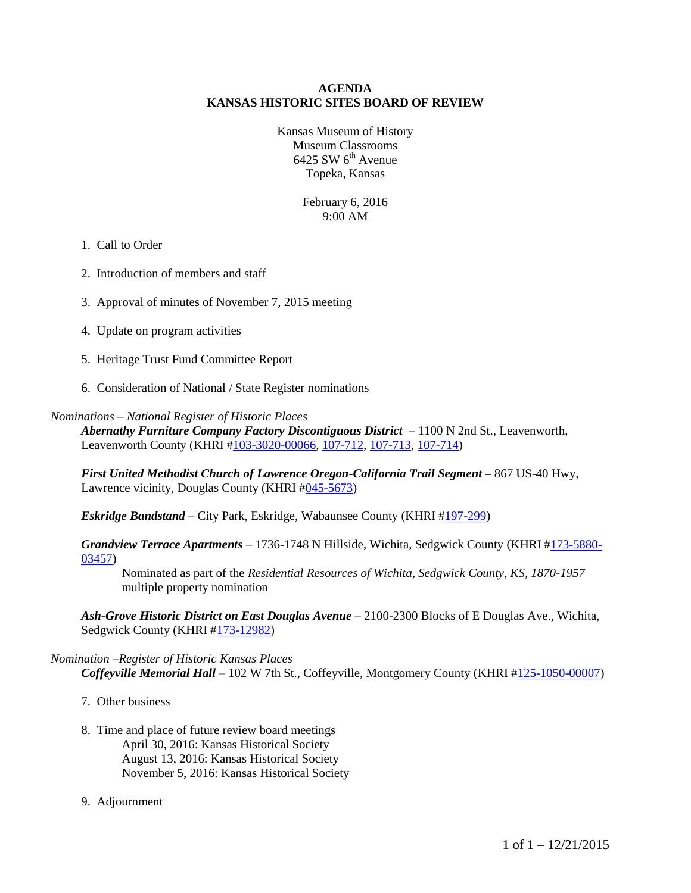#### **AGENDA KANSAS HISTORIC SITES BOARD OF REVIEW**

Kansas Museum of History Museum Classrooms  $6425$  SW  $6<sup>th</sup>$  Avenue Topeka, Kansas

> February 6, 2016 9:00 AM

#### 1. Call to Order

- 2. Introduction of members and staff
- 3. Approval of minutes of November 7, 2015 meeting
- 4. Update on program activities
- 5. Heritage Trust Fund Committee Report
- 6. Consideration of National / State Register nominations

#### *Nominations – National Register of Historic Places*

*Abernathy Furniture Company Factory Discontiguous District –* 1100 N 2nd St., Leavenworth, Leavenworth County (KHRI [#103-3020-00066,](http://khri.kansasgis.org/index.cfm?in=103-3020-00066) [107-712,](http://khri.kansasgis.org/index.cfm?in=103-712) [107-713,](http://khri.kansasgis.org/index.cfm?in=103-713) [107-714\)](http://khri.kansasgis.org/index.cfm?in=103-714)

*First United Methodist Church of Lawrence Oregon-California Trail Segment –* 867 US-40 Hwy, Lawrence vicinity, Douglas County (KHRI [#045-5673\)](http://khri.kansasgis.org/index.cfm?in=045-5673)

*Eskridge Bandstand* – City Park, Eskridge, Wabaunsee County (KHRI [#197-299\)](http://khri.kansasgis.org/index.cfm?in=197-299)

*Grandview Terrace Apartments* – 1736-1748 N Hillside, Wichita, Sedgwick County (KHRI [#173-5880-](http://khri.kansasgis.org/index.cfm?in=173-5880-03457) [03457\)](http://khri.kansasgis.org/index.cfm?in=173-5880-03457)

Nominated as part of the *Residential Resources of Wichita, Sedgwick County, KS, 1870-1957* multiple property nomination

*Ash-Grove Historic District on East Douglas Avenue* – 2100-2300 Blocks of E Douglas Ave., Wichita, Sedgwick County (KHRI [#173-12982\)](http://khri.kansasgis.org/index.cfm?in=173-12982)

#### *Nomination –Register of Historic Kansas Places Coffeyville Memorial Hall* – 102 W 7th St., Coffeyville, Montgomery County (KHRI [#125-1050-00007\)](http://khri.kansasgis.org/index.cfm?in=125-1050-00007)

- 7. Other business
- 8. Time and place of future review board meetings April 30, 2016: Kansas Historical Society August 13, 2016: Kansas Historical Society November 5, 2016: Kansas Historical Society
- 9. Adjournment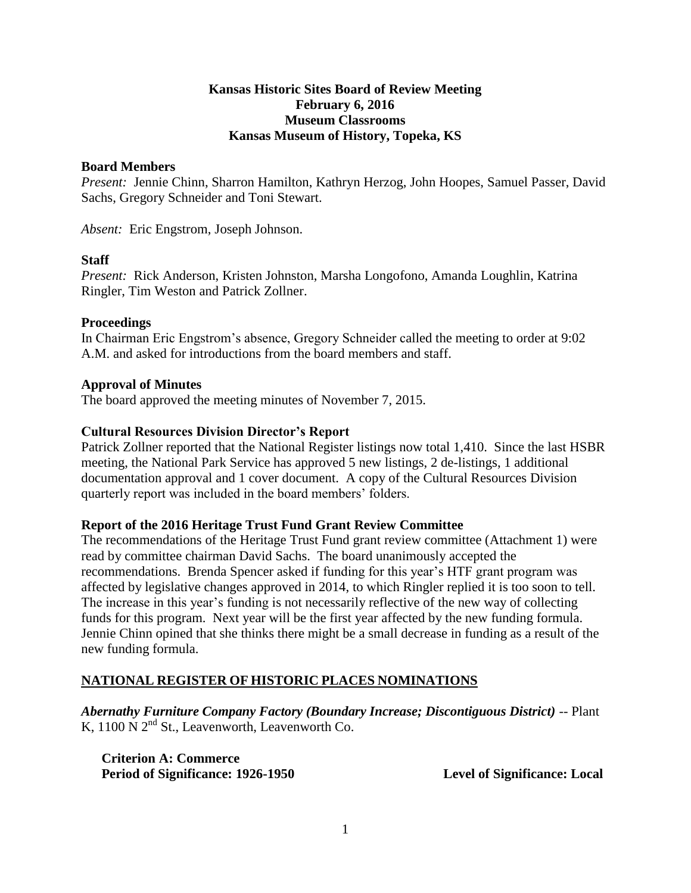## **Kansas Historic Sites Board of Review Meeting February 6, 2016 Museum Classrooms Kansas Museum of History, Topeka, KS**

#### **Board Members**

*Present:* Jennie Chinn, Sharron Hamilton, Kathryn Herzog, John Hoopes, Samuel Passer, David Sachs, Gregory Schneider and Toni Stewart.

*Absent:* Eric Engstrom, Joseph Johnson.

### **Staff**

*Present:* Rick Anderson, Kristen Johnston, Marsha Longofono, Amanda Loughlin, Katrina Ringler, Tim Weston and Patrick Zollner.

#### **Proceedings**

In Chairman Eric Engstrom's absence, Gregory Schneider called the meeting to order at 9:02 A.M. and asked for introductions from the board members and staff.

#### **Approval of Minutes**

The board approved the meeting minutes of November 7, 2015.

### **Cultural Resources Division Director's Report**

Patrick Zollner reported that the National Register listings now total 1,410. Since the last HSBR meeting, the National Park Service has approved 5 new listings, 2 de-listings, 1 additional documentation approval and 1 cover document. A copy of the Cultural Resources Division quarterly report was included in the board members' folders.

### **Report of the 2016 Heritage Trust Fund Grant Review Committee**

The recommendations of the Heritage Trust Fund grant review committee (Attachment 1) were read by committee chairman David Sachs. The board unanimously accepted the recommendations. Brenda Spencer asked if funding for this year's HTF grant program was affected by legislative changes approved in 2014, to which Ringler replied it is too soon to tell. The increase in this year's funding is not necessarily reflective of the new way of collecting funds for this program. Next year will be the first year affected by the new funding formula. Jennie Chinn opined that she thinks there might be a small decrease in funding as a result of the new funding formula.

### **NATIONAL REGISTER OF HISTORIC PLACES NOMINATIONS**

*Abernathy Furniture Company Factory (Boundary Increase; Discontiguous District)* -- Plant K,  $1100 \text{ N } 2^{\text{nd}}$  St., Leavenworth, Leavenworth Co.

**Criterion A: Commerce** Period of Significance: 1926-1950 Level of Significance: Local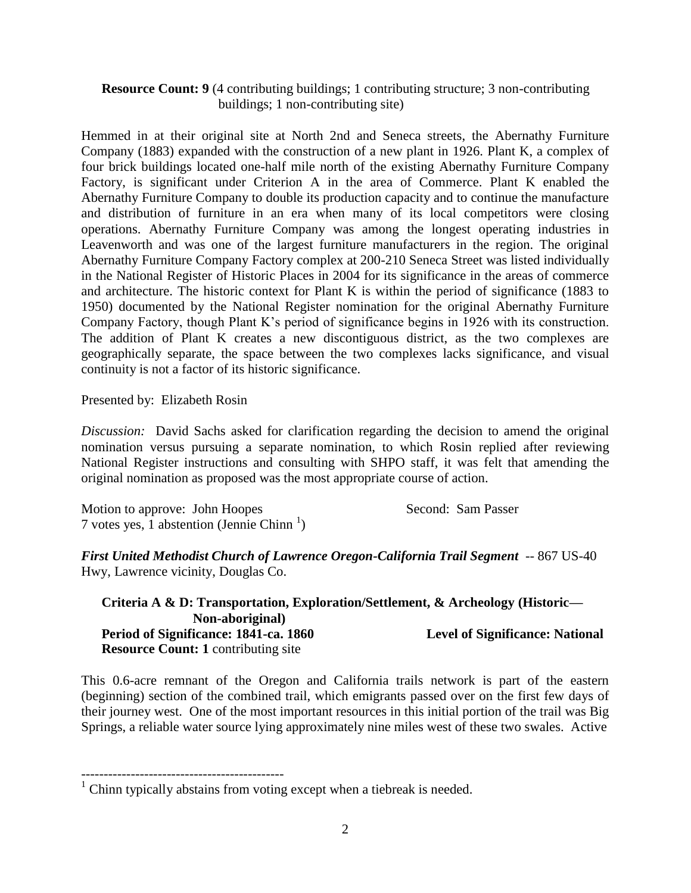# **Resource Count: 9** (4 contributing buildings; 1 contributing structure; 3 non-contributing buildings; 1 non-contributing site)

Hemmed in at their original site at North 2nd and Seneca streets, the Abernathy Furniture Company (1883) expanded with the construction of a new plant in 1926. Plant K, a complex of four brick buildings located one-half mile north of the existing Abernathy Furniture Company Factory, is significant under Criterion A in the area of Commerce. Plant K enabled the Abernathy Furniture Company to double its production capacity and to continue the manufacture and distribution of furniture in an era when many of its local competitors were closing operations. Abernathy Furniture Company was among the longest operating industries in Leavenworth and was one of the largest furniture manufacturers in the region. The original Abernathy Furniture Company Factory complex at 200-210 Seneca Street was listed individually in the National Register of Historic Places in 2004 for its significance in the areas of commerce and architecture. The historic context for Plant K is within the period of significance (1883 to 1950) documented by the National Register nomination for the original Abernathy Furniture Company Factory, though Plant K's period of significance begins in 1926 with its construction. The addition of Plant K creates a new discontiguous district, as the two complexes are geographically separate, the space between the two complexes lacks significance, and visual continuity is not a factor of its historic significance.

Presented by: Elizabeth Rosin

*Discussion:* David Sachs asked for clarification regarding the decision to amend the original nomination versus pursuing a separate nomination, to which Rosin replied after reviewing National Register instructions and consulting with SHPO staff, it was felt that amending the original nomination as proposed was the most appropriate course of action.

Motion to approve: John Hoopes Second: Sam Passer 7 votes yes,  $\overline{1}$  abstention (Jennie Chinn<sup>1</sup>)

---------------------------------------------

*First United Methodist Church of Lawrence Oregon-California Trail Segment* -- 867 US-40 Hwy, Lawrence vicinity, Douglas Co.

**Criteria A & D: Transportation, Exploration/Settlement, & Archeology (Historic— Non-aboriginal)** Period of Significance: 1841-ca. 1860 Level of Significance: National **Resource Count: 1 contributing site** 

This 0.6-acre remnant of the Oregon and California trails network is part of the eastern (beginning) section of the combined trail, which emigrants passed over on the first few days of their journey west. One of the most important resources in this initial portion of the trail was Big Springs, a reliable water source lying approximately nine miles west of these two swales. Active

 $1$  Chinn typically abstains from voting except when a tiebreak is needed.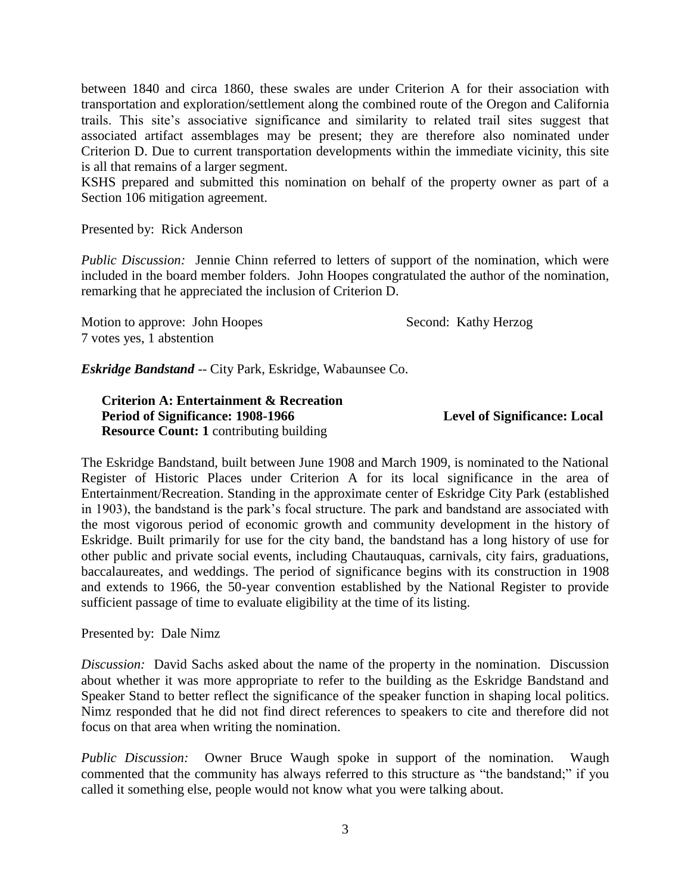between 1840 and circa 1860, these swales are under Criterion A for their association with transportation and exploration/settlement along the combined route of the Oregon and California trails. This site's associative significance and similarity to related trail sites suggest that associated artifact assemblages may be present; they are therefore also nominated under Criterion D. Due to current transportation developments within the immediate vicinity, this site is all that remains of a larger segment.

KSHS prepared and submitted this nomination on behalf of the property owner as part of a Section 106 mitigation agreement.

### Presented by: Rick Anderson

*Public Discussion:* Jennie Chinn referred to letters of support of the nomination, which were included in the board member folders. John Hoopes congratulated the author of the nomination, remarking that he appreciated the inclusion of Criterion D.

Motion to approve: John Hoopes Second: Kathy Herzog 7 votes yes, 1 abstention

*Eskridge Bandstand* -- City Park, Eskridge, Wabaunsee Co.

**Criterion A: Entertainment & Recreation Period of Significance: 1908-1966** Level of Significance: Local **Resource Count: 1** contributing building

The Eskridge Bandstand, built between June 1908 and March 1909, is nominated to the National Register of Historic Places under Criterion A for its local significance in the area of Entertainment/Recreation. Standing in the approximate center of Eskridge City Park (established in 1903), the bandstand is the park's focal structure. The park and bandstand are associated with the most vigorous period of economic growth and community development in the history of Eskridge. Built primarily for use for the city band, the bandstand has a long history of use for other public and private social events, including Chautauquas, carnivals, city fairs, graduations, baccalaureates, and weddings. The period of significance begins with its construction in 1908 and extends to 1966, the 50-year convention established by the National Register to provide sufficient passage of time to evaluate eligibility at the time of its listing.

Presented by: Dale Nimz

*Discussion:* David Sachs asked about the name of the property in the nomination. Discussion about whether it was more appropriate to refer to the building as the Eskridge Bandstand and Speaker Stand to better reflect the significance of the speaker function in shaping local politics. Nimz responded that he did not find direct references to speakers to cite and therefore did not focus on that area when writing the nomination.

*Public Discussion:* Owner Bruce Waugh spoke in support of the nomination. Waugh commented that the community has always referred to this structure as "the bandstand;" if you called it something else, people would not know what you were talking about.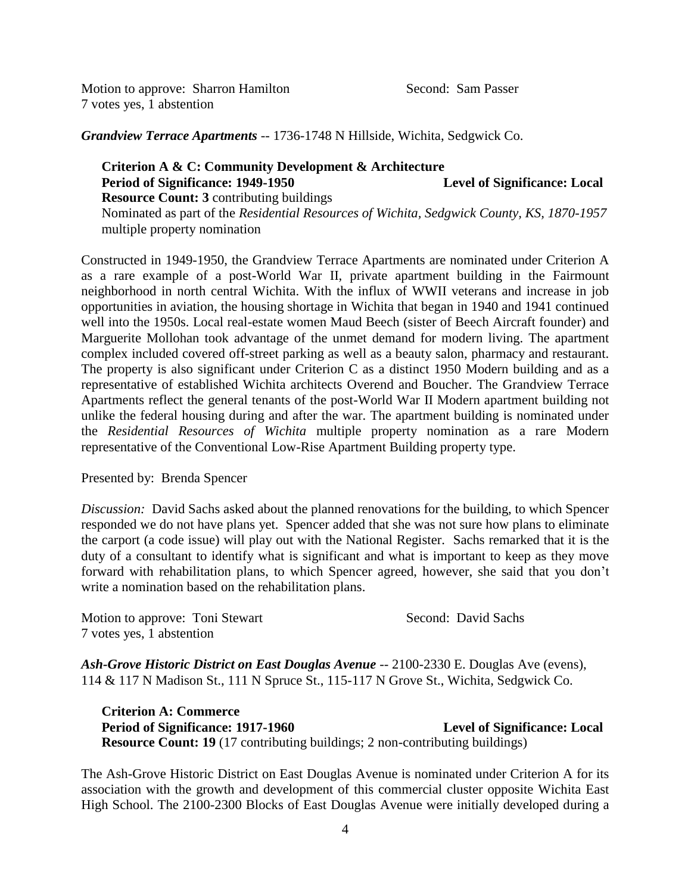Motion to approve: Sharron Hamilton Second: Sam Passer 7 votes yes, 1 abstention

*Grandview Terrace Apartments* -- 1736-1748 N Hillside, Wichita, Sedgwick Co.

## **Criterion A & C: Community Development & Architecture** Period of Significance: 1949-1950 Level of Significance: Local **Resource Count: 3** contributing buildings Nominated as part of the *Residential Resources of Wichita, Sedgwick County, KS, 1870-1957*  multiple property nomination

Constructed in 1949-1950, the Grandview Terrace Apartments are nominated under Criterion A as a rare example of a post-World War II, private apartment building in the Fairmount neighborhood in north central Wichita. With the influx of WWII veterans and increase in job opportunities in aviation, the housing shortage in Wichita that began in 1940 and 1941 continued well into the 1950s. Local real-estate women Maud Beech (sister of Beech Aircraft founder) and Marguerite Mollohan took advantage of the unmet demand for modern living. The apartment complex included covered off-street parking as well as a beauty salon, pharmacy and restaurant. The property is also significant under Criterion C as a distinct 1950 Modern building and as a representative of established Wichita architects Overend and Boucher. The Grandview Terrace Apartments reflect the general tenants of the post-World War II Modern apartment building not unlike the federal housing during and after the war. The apartment building is nominated under the *Residential Resources of Wichita* multiple property nomination as a rare Modern representative of the Conventional Low-Rise Apartment Building property type.

Presented by: Brenda Spencer

*Discussion:* David Sachs asked about the planned renovations for the building, to which Spencer responded we do not have plans yet. Spencer added that she was not sure how plans to eliminate the carport (a code issue) will play out with the National Register. Sachs remarked that it is the duty of a consultant to identify what is significant and what is important to keep as they move forward with rehabilitation plans, to which Spencer agreed, however, she said that you don't write a nomination based on the rehabilitation plans.

Motion to approve: Toni Stewart Second: David Sachs 7 votes yes, 1 abstention

Ash-Grove Historic District on East Douglas Avenue -- 2100-2330 E. Douglas Ave (evens), 114 & 117 N Madison St., 111 N Spruce St., 115-117 N Grove St., Wichita, Sedgwick Co.

**Criterion A: Commerce** Period of Significance: 1917-1960 **Level of Significance: Local Resource Count: 19** (17 contributing buildings; 2 non-contributing buildings)

The Ash-Grove Historic District on East Douglas Avenue is nominated under Criterion A for its association with the growth and development of this commercial cluster opposite Wichita East High School. The 2100-2300 Blocks of East Douglas Avenue were initially developed during a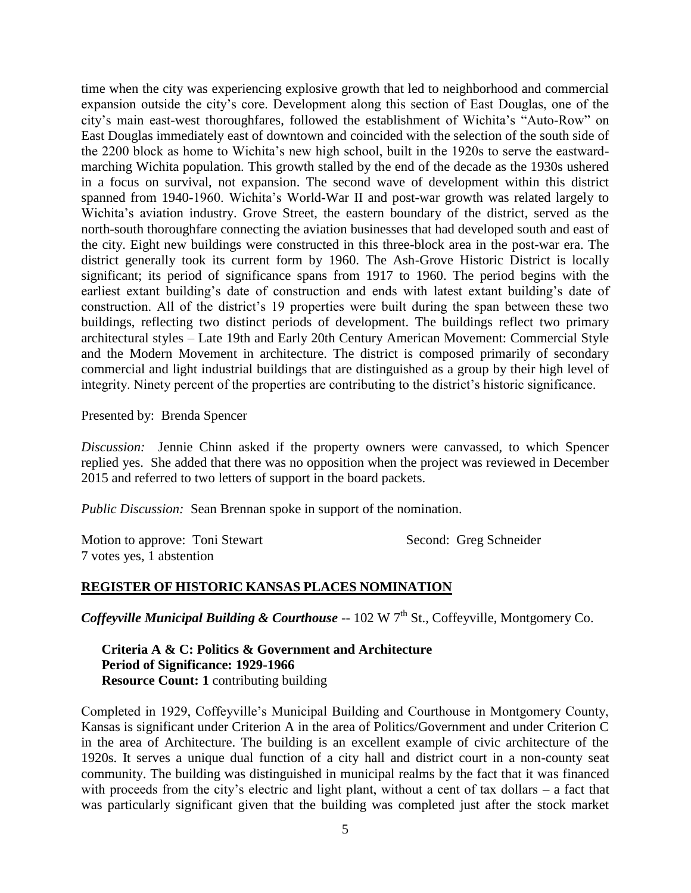time when the city was experiencing explosive growth that led to neighborhood and commercial expansion outside the city's core. Development along this section of East Douglas, one of the city's main east-west thoroughfares, followed the establishment of Wichita's "Auto-Row" on East Douglas immediately east of downtown and coincided with the selection of the south side of the 2200 block as home to Wichita's new high school, built in the 1920s to serve the eastwardmarching Wichita population. This growth stalled by the end of the decade as the 1930s ushered in a focus on survival, not expansion. The second wave of development within this district spanned from 1940-1960. Wichita's World-War II and post-war growth was related largely to Wichita's aviation industry. Grove Street, the eastern boundary of the district, served as the north-south thoroughfare connecting the aviation businesses that had developed south and east of the city. Eight new buildings were constructed in this three-block area in the post-war era. The district generally took its current form by 1960. The Ash-Grove Historic District is locally significant; its period of significance spans from 1917 to 1960. The period begins with the earliest extant building's date of construction and ends with latest extant building's date of construction. All of the district's 19 properties were built during the span between these two buildings, reflecting two distinct periods of development. The buildings reflect two primary architectural styles – Late 19th and Early 20th Century American Movement: Commercial Style and the Modern Movement in architecture. The district is composed primarily of secondary commercial and light industrial buildings that are distinguished as a group by their high level of integrity. Ninety percent of the properties are contributing to the district's historic significance.

Presented by: Brenda Spencer

*Discussion:* Jennie Chinn asked if the property owners were canvassed, to which Spencer replied yes. She added that there was no opposition when the project was reviewed in December 2015 and referred to two letters of support in the board packets.

*Public Discussion:* Sean Brennan spoke in support of the nomination.

Motion to approve: Toni Stewart Second: Greg Schneider 7 votes yes, 1 abstention

### **REGISTER OF HISTORIC KANSAS PLACES NOMINATION**

*Coffeyville Municipal Building & Courthouse* -- 102 W 7<sup>th</sup> St., Coffeyville, Montgomery Co.

**Criteria A & C: Politics & Government and Architecture Period of Significance: 1929-1966 Resource Count: 1** contributing building

Completed in 1929, Coffeyville's Municipal Building and Courthouse in Montgomery County, Kansas is significant under Criterion A in the area of Politics/Government and under Criterion C in the area of Architecture. The building is an excellent example of civic architecture of the 1920s. It serves a unique dual function of a city hall and district court in a non-county seat community. The building was distinguished in municipal realms by the fact that it was financed with proceeds from the city's electric and light plant, without a cent of tax dollars – a fact that was particularly significant given that the building was completed just after the stock market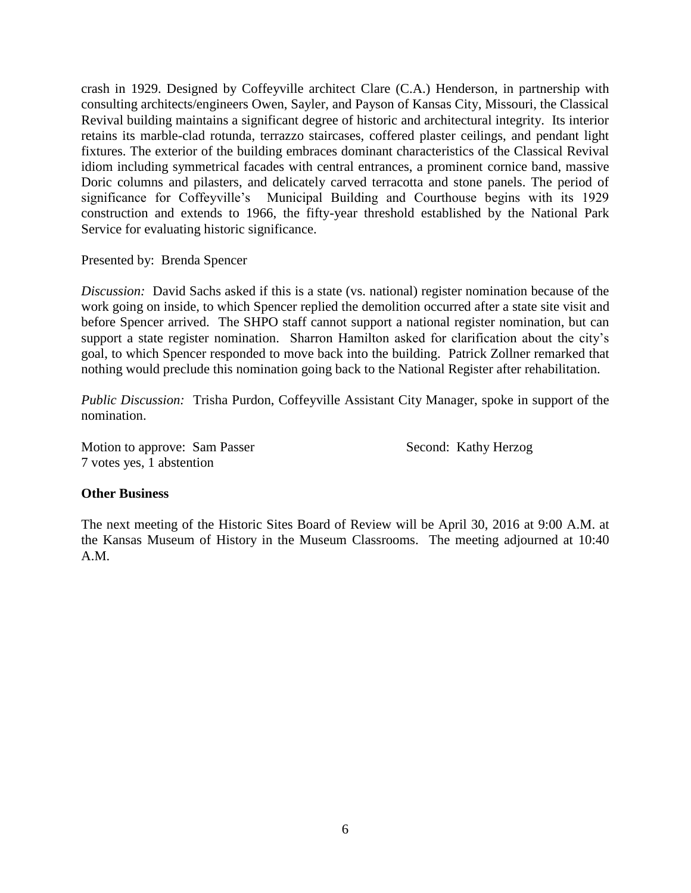crash in 1929. Designed by Coffeyville architect Clare (C.A.) Henderson, in partnership with consulting architects/engineers Owen, Sayler, and Payson of Kansas City, Missouri, the Classical Revival building maintains a significant degree of historic and architectural integrity. Its interior retains its marble-clad rotunda, terrazzo staircases, coffered plaster ceilings, and pendant light fixtures. The exterior of the building embraces dominant characteristics of the Classical Revival idiom including symmetrical facades with central entrances, a prominent cornice band, massive Doric columns and pilasters, and delicately carved terracotta and stone panels. The period of significance for Coffeyville's Municipal Building and Courthouse begins with its 1929 construction and extends to 1966, the fifty-year threshold established by the National Park Service for evaluating historic significance.

Presented by: Brenda Spencer

*Discussion:* David Sachs asked if this is a state (vs. national) register nomination because of the work going on inside, to which Spencer replied the demolition occurred after a state site visit and before Spencer arrived. The SHPO staff cannot support a national register nomination, but can support a state register nomination. Sharron Hamilton asked for clarification about the city's goal, to which Spencer responded to move back into the building. Patrick Zollner remarked that nothing would preclude this nomination going back to the National Register after rehabilitation.

*Public Discussion:* Trisha Purdon, Coffeyville Assistant City Manager, spoke in support of the nomination.

Motion to approve: Sam Passer Second: Kathy Herzog 7 votes yes, 1 abstention

### **Other Business**

The next meeting of the Historic Sites Board of Review will be April 30, 2016 at 9:00 A.M. at the Kansas Museum of History in the Museum Classrooms. The meeting adjourned at 10:40 A.M.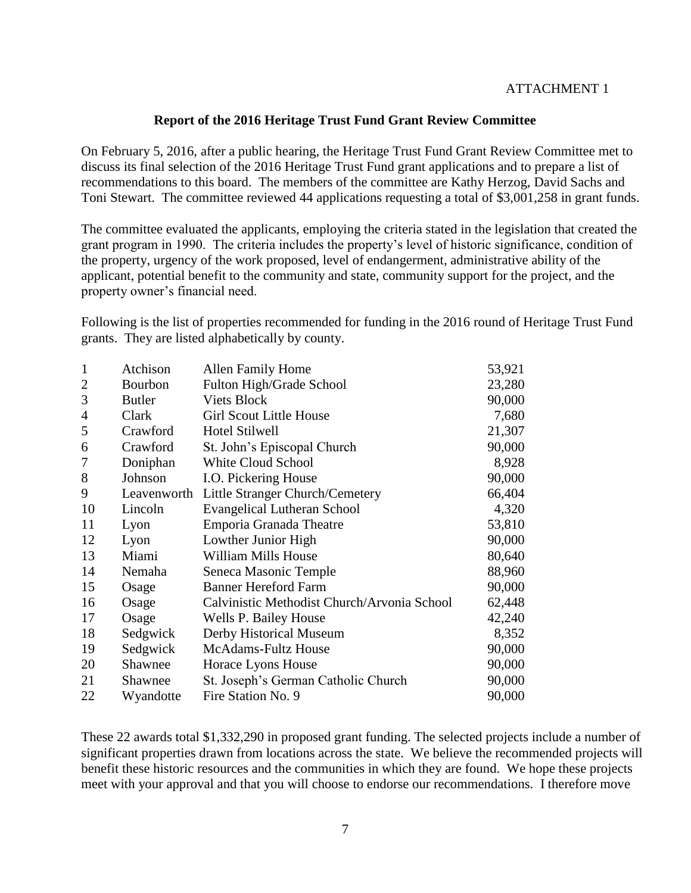## ATTACHMENT 1

## **Report of the 2016 Heritage Trust Fund Grant Review Committee**

On February 5, 2016, after a public hearing, the Heritage Trust Fund Grant Review Committee met to discuss its final selection of the 2016 Heritage Trust Fund grant applications and to prepare a list of recommendations to this board. The members of the committee are Kathy Herzog, David Sachs and Toni Stewart. The committee reviewed 44 applications requesting a total of \$3,001,258 in grant funds.

The committee evaluated the applicants, employing the criteria stated in the legislation that created the grant program in 1990. The criteria includes the property's level of historic significance, condition of the property, urgency of the work proposed, level of endangerment, administrative ability of the applicant, potential benefit to the community and state, community support for the project, and the property owner's financial need.

Following is the list of properties recommended for funding in the 2016 round of Heritage Trust Fund grants. They are listed alphabetically by county.

| $\mathbf{1}$   | Atchison      | Allen Family Home                           | 53,921 |
|----------------|---------------|---------------------------------------------|--------|
| $\overline{2}$ | Bourbon       | Fulton High/Grade School                    | 23,280 |
| 3              | <b>Butler</b> | <b>Viets Block</b>                          | 90,000 |
| $\overline{4}$ | Clark         | <b>Girl Scout Little House</b>              | 7,680  |
| 5              | Crawford      | <b>Hotel Stilwell</b>                       | 21,307 |
| 6              | Crawford      | St. John's Episcopal Church                 | 90,000 |
| 7              | Doniphan      | <b>White Cloud School</b>                   | 8,928  |
| 8              | Johnson       | I.O. Pickering House                        | 90,000 |
| 9              | Leavenworth   | Little Stranger Church/Cemetery             | 66,404 |
| 10             | Lincoln       | Evangelical Lutheran School                 | 4,320  |
| 11             | Lyon          | Emporia Granada Theatre                     | 53,810 |
| 12             | Lyon          | Lowther Junior High                         | 90,000 |
| 13             | Miami         | <b>William Mills House</b>                  | 80,640 |
| 14             | Nemaha        | Seneca Masonic Temple                       | 88,960 |
| 15             | Osage         | <b>Banner Hereford Farm</b>                 | 90,000 |
| 16             | Osage         | Calvinistic Methodist Church/Arvonia School | 62,448 |
| 17             | Osage         | Wells P. Bailey House                       | 42,240 |
| 18             | Sedgwick      | Derby Historical Museum                     | 8,352  |
| 19             | Sedgwick      | <b>McAdams-Fultz House</b>                  | 90,000 |
| 20             | Shawnee       | Horace Lyons House                          | 90,000 |
| 21             | Shawnee       | St. Joseph's German Catholic Church         | 90,000 |
| 22             | Wyandotte     | Fire Station No. 9                          | 90,000 |

These 22 awards total \$1,332,290 in proposed grant funding. The selected projects include a number of significant properties drawn from locations across the state. We believe the recommended projects will benefit these historic resources and the communities in which they are found. We hope these projects meet with your approval and that you will choose to endorse our recommendations. I therefore move